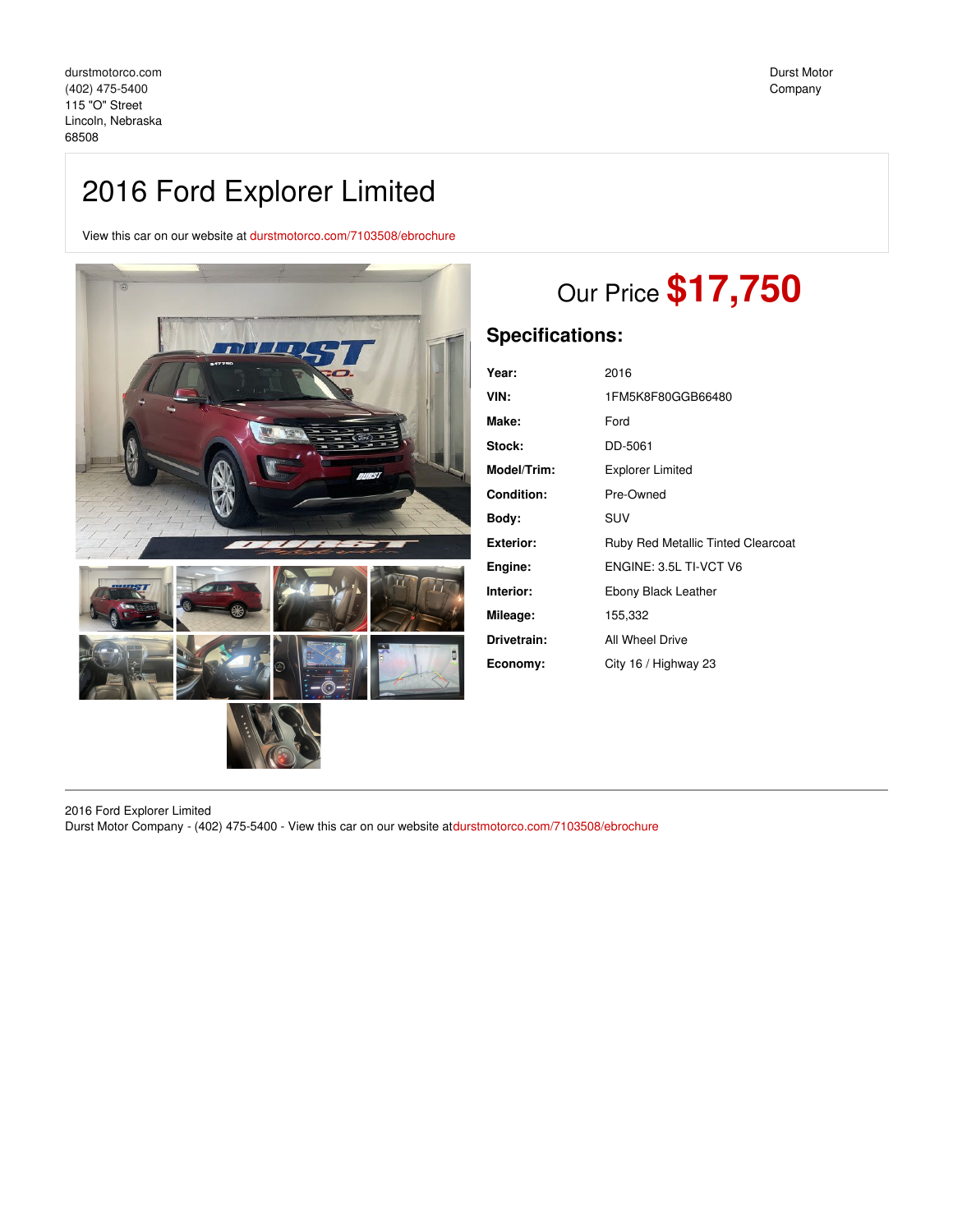# 2016 Ford Explorer Limited

View this car on our website at [durstmotorco.com/7103508/ebrochure](https://durstmotorco.com/vehicle/7103508/2016-ford-explorer-limited-lincoln-nebraska-68508/7103508/ebrochure)



# Our Price **\$17,750**

# **Specifications:**

| Year:            | 2016                                      |
|------------------|-------------------------------------------|
| VIN:             | 1FM5K8F80GGB66480                         |
| Make:            | Ford                                      |
| Stock:           | DD-5061                                   |
| Model/Trim:      | <b>Explorer Limited</b>                   |
| Condition:       | Pre-Owned                                 |
| Body:            | <b>SUV</b>                                |
| <b>Exterior:</b> | <b>Ruby Red Metallic Tinted Clearcoat</b> |
| Engine:          | ENGINE: 3.5L TI-VCT V6                    |
| Interior:        | Ebony Black Leather                       |
| Mileage:         | 155,332                                   |
| Drivetrain:      | All Wheel Drive                           |
| Economy:         | City 16 / Highway 23                      |

2016 Ford Explorer Limited Durst Motor Company - (402) 475-5400 - View this car on our website at[durstmotorco.com/7103508/ebrochure](https://durstmotorco.com/vehicle/7103508/2016-ford-explorer-limited-lincoln-nebraska-68508/7103508/ebrochure)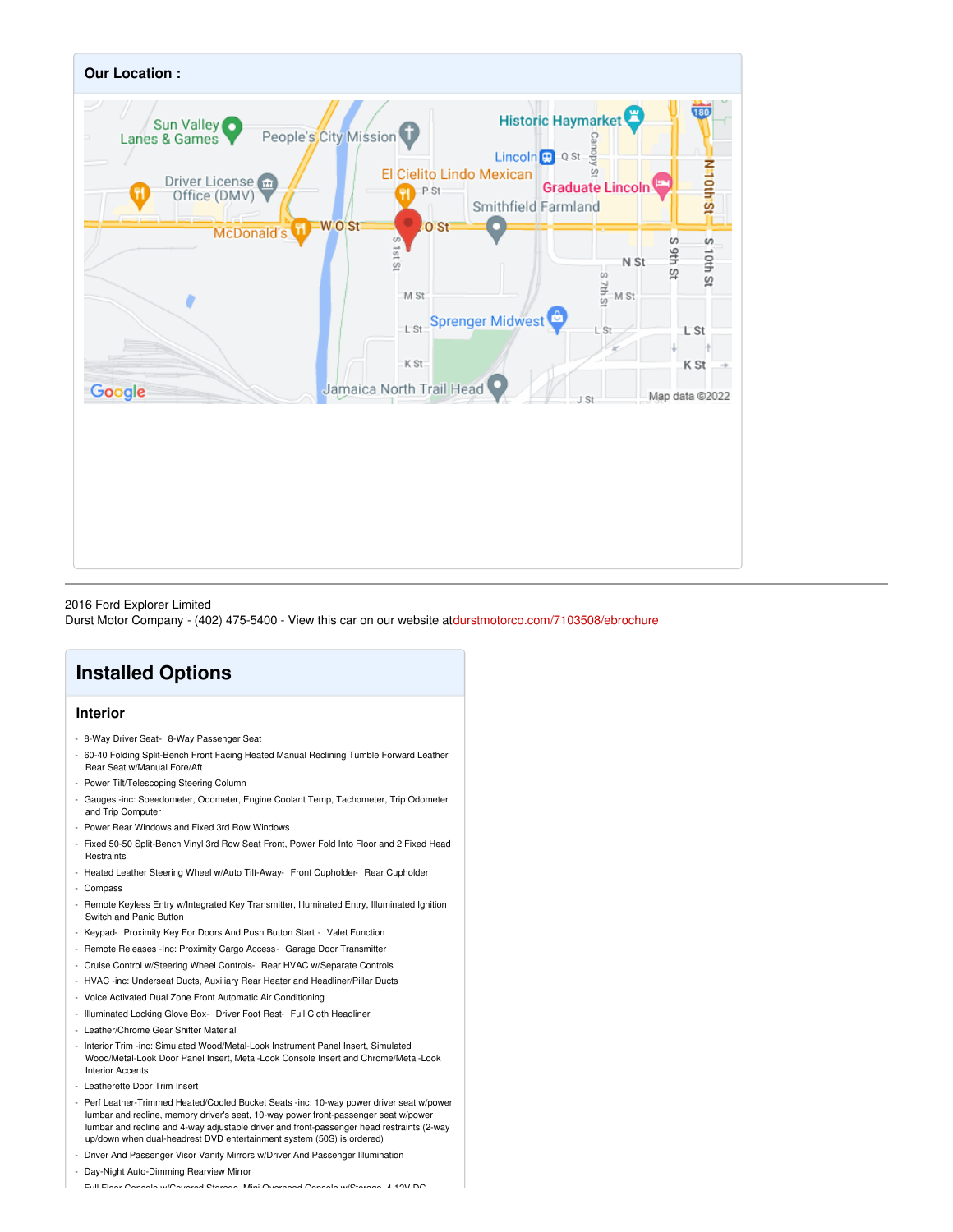

### 2016 Ford Explorer Limited

Durst Motor Company - (402) 475-5400 - View this car on our website at[durstmotorco.com/7103508/ebrochure](https://durstmotorco.com/vehicle/7103508/2016-ford-explorer-limited-lincoln-nebraska-68508/7103508/ebrochure)

# **Installed Options**

## **Interior**

- 8-Way Driver Seat- 8-Way Passenger Seat
- 60-40 Folding Split-Bench Front Facing Heated Manual Reclining Tumble Forward Leather Rear Seat w/Manual Fore/Aft
- Power Tilt/Telescoping Steering Column
- Gauges -inc: Speedometer, Odometer, Engine Coolant Temp, Tachometer, Trip Odometer and Trip Computer
- Power Rear Windows and Fixed 3rd Row Windows
- Fixed 50-50 Split-Bench Vinyl 3rd Row Seat Front, Power Fold Into Floor and 2 Fixed Head **Restraints**
- Heated Leather Steering Wheel w/Auto Tilt-Away- Front Cupholder- Rear Cupholder - Compass
- Remote Keyless Entry w/Integrated Key Transmitter, Illuminated Entry, Illuminated Ignition Switch and Panic Button
- Keypad- Proximity Key For Doors And Push Button Start Valet Function
- Remote Releases -Inc: Proximity Cargo Access- Garage Door Transmitter
- Cruise Control w/Steering Wheel Controls- Rear HVAC w/Separate Controls
- HVAC -inc: Underseat Ducts, Auxiliary Rear Heater and Headliner/Pillar Ducts
- Voice Activated Dual Zone Front Automatic Air Conditioning
- Illuminated Locking Glove Box- Driver Foot Rest- Full Cloth Headliner
- Leather/Chrome Gear Shifter Material
- Interior Trim -inc: Simulated Wood/Metal-Look Instrument Panel Insert, Simulated Wood/Metal-Look Door Panel Insert, Metal-Look Console Insert and Chrome/Metal-Look Interior Accents
- Leatherette Door Trim Insert
- Perf Leather-Trimmed Heated/Cooled Bucket Seats -inc: 10-way power driver seat w/power lumbar and recline, memory driver's seat, 10-way power front-passenger seat w/power lumbar and recline and 4-way adjustable driver and front-passenger head restraints (2-way up/down when dual-headrest DVD entertainment system (50S) is ordered)
- Driver And Passenger Visor Vanity Mirrors w/Driver And Passenger Illumination
- Day-Night Auto-Dimming Rearview Mirror

- Full Floor Console w/Covered Storage, Mini Overhead Console w/Storage, 4 12V DC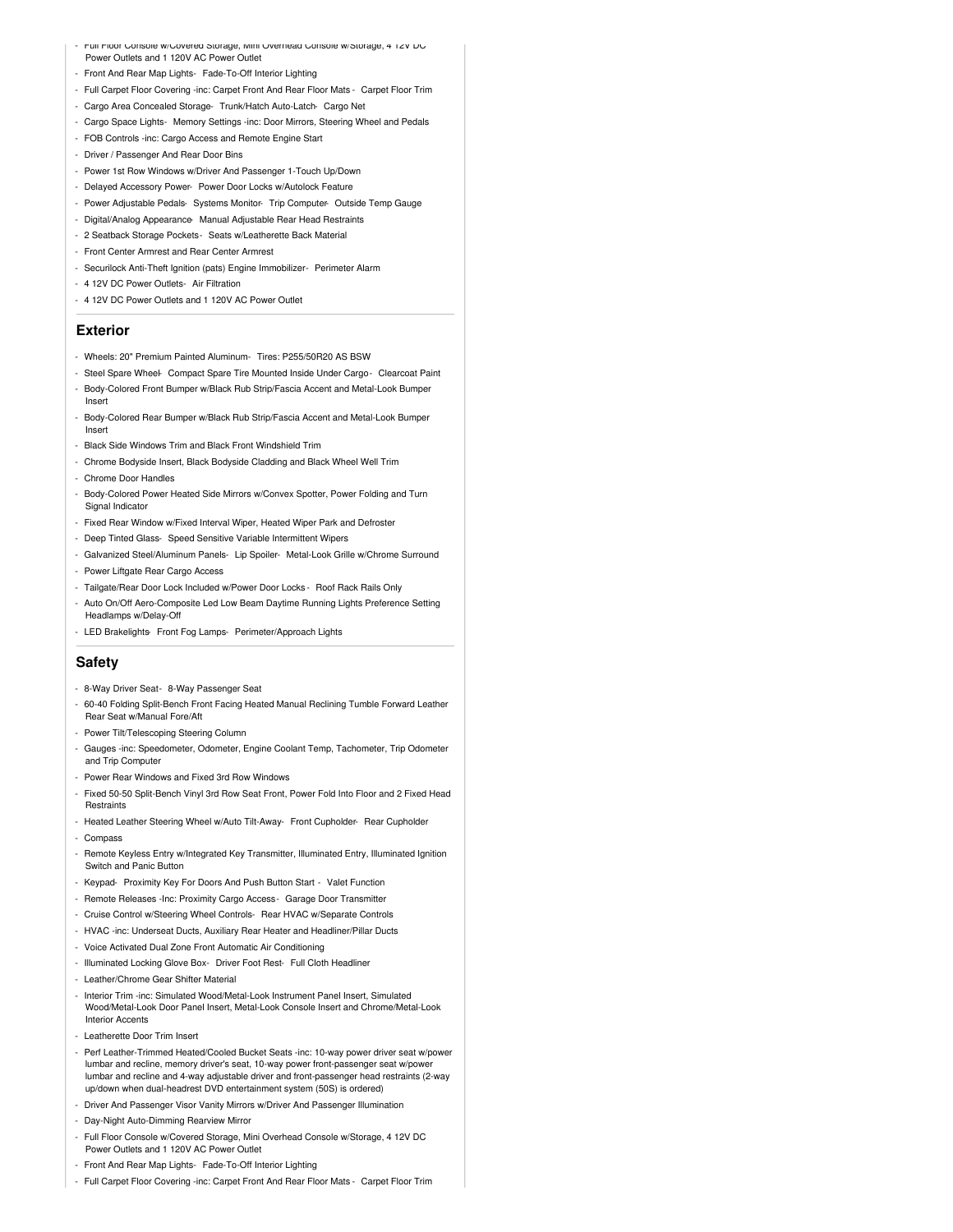- Full Floor Console w/Covered Storage, Mini Overhead Console w/Storage, 4 12V DC Power Outlets and 1 120V AC Power Outlet
- Front And Rear Map Lights- Fade-To-Off Interior Lighting
- Full Carpet Floor Covering -inc: Carpet Front And Rear Floor Mats Carpet Floor Trim
- Cargo Area Concealed Storage- Trunk/Hatch Auto-Latch- Cargo Net
- Cargo Space Lights- Memory Settings -inc: Door Mirrors, Steering Wheel and Pedals
- FOB Controls -inc: Cargo Access and Remote Engine Start
- Driver / Passenger And Rear Door Bins
- Power 1st Row Windows w/Driver And Passenger 1-Touch Up/Down
- Delayed Accessory Power- Power Door Locks w/Autolock Feature
- Power Adjustable Pedals- Systems Monitor- Trip Computer- Outside Temp Gauge
- Digital/Analog Appearance- Manual Adjustable Rear Head Restraints
- 2 Seatback Storage Pockets- Seats w/Leatherette Back Material
- Front Center Armrest and Rear Center Armrest
- Securilock Anti-Theft Ignition (pats) Engine Immobilizer- Perimeter Alarm
- 4 12V DC Power Outlets- Air Filtration
- 4 12V DC Power Outlets and 1 120V AC Power Outlet

#### **Exterior**

- Wheels: 20" Premium Painted Aluminum- Tires: P255/50R20 AS BSW
- Steel Spare Wheel- Compact Spare Tire Mounted Inside Under Cargo- Clearcoat Paint - Body-Colored Front Bumper w/Black Rub Strip/Fascia Accent and Metal-Look Bumper Insert
- Body-Colored Rear Bumper w/Black Rub Strip/Fascia Accent and Metal-Look Bumper Insert
- Black Side Windows Trim and Black Front Windshield Trim
- Chrome Bodyside Insert, Black Bodyside Cladding and Black Wheel Well Trim
- Chrome Door Handles
- Body-Colored Power Heated Side Mirrors w/Convex Spotter, Power Folding and Turn Signal Indicator
- Fixed Rear Window w/Fixed Interval Wiper, Heated Wiper Park and Defroster
- Deep Tinted Glass- Speed Sensitive Variable Intermittent Wipers
- Galvanized Steel/Aluminum Panels- Lip Spoiler- Metal-Look Grille w/Chrome Surround - Power Liftgate Rear Cargo Access
- 
- Tailgate/Rear Door Lock Included w/Power Door Locks Roof Rack Rails Only - Auto On/Off Aero-Composite Led Low Beam Daytime Running Lights Preference Setting Headlamps w/Delay-Off
- LED Brakelights- Front Fog Lamps- Perimeter/Approach Lights

### **Safety**

- 8-Way Driver Seat- 8-Way Passenger Seat
- 60-40 Folding Split-Bench Front Facing Heated Manual Reclining Tumble Forward Leather Rear Seat w/Manual Fore/Aft
- Power Tilt/Telescoping Steering Column
- Gauges -inc: Speedometer, Odometer, Engine Coolant Temp, Tachometer, Trip Odometer and Trip Computer
- Power Rear Windows and Fixed 3rd Row Windows
- Fixed 50-50 Split-Bench Vinyl 3rd Row Seat Front, Power Fold Into Floor and 2 Fixed Head **Restraints**
- Heated Leather Steering Wheel w/Auto Tilt-Away- Front Cupholder- Rear Cupholder
- Compass
- Remote Keyless Entry w/Integrated Key Transmitter, Illuminated Entry, Illuminated Ignition Switch and Panic Button
- Keypad- Proximity Key For Doors And Push Button Start Valet Function
- Remote Releases -Inc: Proximity Cargo Access- Garage Door Transmitter
- Cruise Control w/Steering Wheel Controls- Rear HVAC w/Separate Controls
- HVAC -inc: Underseat Ducts, Auxiliary Rear Heater and Headliner/Pillar Ducts
- Voice Activated Dual Zone Front Automatic Air Conditioning
- Illuminated Locking Glove Box- Driver Foot Rest- Full Cloth Headliner
- Leather/Chrome Gear Shifter Material
- Interior Trim -inc: Simulated Wood/Metal-Look Instrument Panel Insert, Simulated Wood/Metal-Look Door Panel Insert, Metal-Look Console Insert and Chrome/Metal-Look Interior Accents
- Leatherette Door Trim Insert
- Perf Leather-Trimmed Heated/Cooled Bucket Seats -inc: 10-way power driver seat w/power lumbar and recline, memory driver's seat, 10-way power front-passenger seat w/power lumbar and recline and 4-way adjustable driver and front-passenger head restraints (2-way up/down when dual-headrest DVD entertainment system (50S) is ordered)
- Driver And Passenger Visor Vanity Mirrors w/Driver And Passenger Illumination
- Day-Night Auto-Dimming Rearview Mirror
- Full Floor Console w/Covered Storage, Mini Overhead Console w/Storage, 4 12V DC Power Outlets and 1 120V AC Power Outlet
- Front And Rear Map Lights- Fade-To-Off Interior Lighting
- Full Carpet Floor Covering -inc: Carpet Front And Rear Floor Mats Carpet Floor Trim